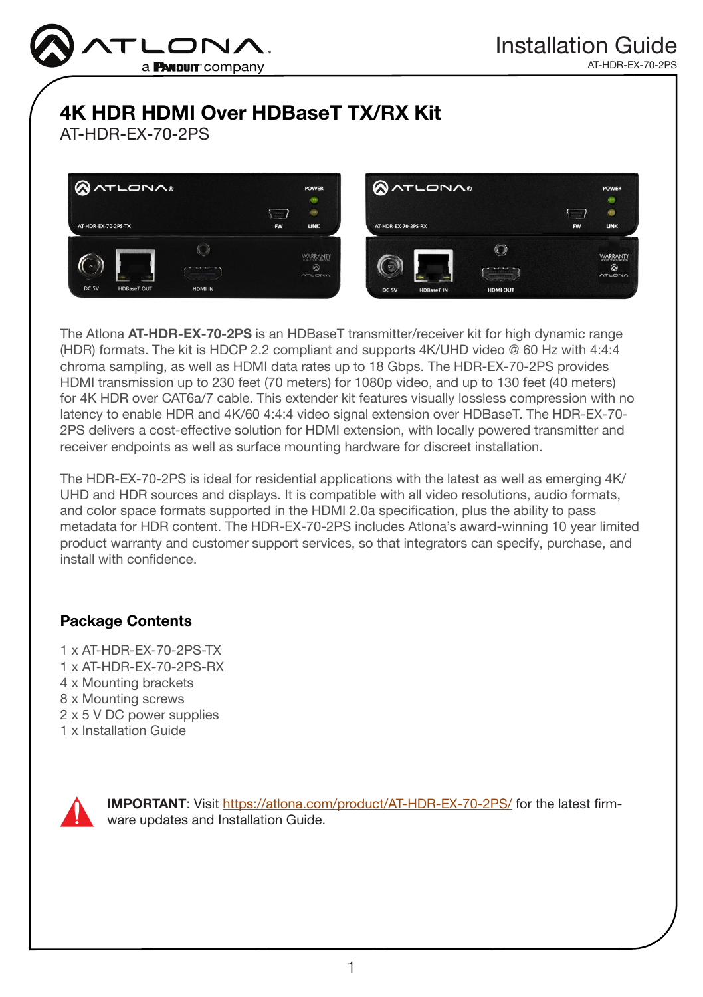

AT-HDR-EX-70-2PS

# 4K HDR HDMI Over HDBaseT TX/RX Kit

AT-HDR-EX-70-2PS





The Atlona AT-HDR-EX-70-2PS is an HDBaseT transmitter/receiver kit for high dynamic range (HDR) formats. The kit is HDCP 2.2 compliant and supports 4K/UHD video @ 60 Hz with 4:4:4 chroma sampling, as well as HDMI data rates up to 18 Gbps. The HDR-EX-70-2PS provides HDMI transmission up to 230 feet (70 meters) for 1080p video, and up to 130 feet (40 meters) for 4K HDR over CAT6a/7 cable. This extender kit features visually lossless compression with no latency to enable HDR and 4K/60 4:4:4 video signal extension over HDBaseT. The HDR-EX-70- 2PS delivers a cost-effective solution for HDMI extension, with locally powered transmitter and receiver endpoints as well as surface mounting hardware for discreet installation.

The HDR-EX-70-2PS is ideal for residential applications with the latest as well as emerging 4K/ UHD and HDR sources and displays. It is compatible with all video resolutions, audio formats, and color space formats supported in the HDMI 2.0a specification, plus the ability to pass metadata for HDR content. The HDR-EX-70-2PS includes Atlona's award-winning 10 year limited product warranty and customer support services, so that integrators can specify, purchase, and install with confidence.

### Package Contents

1 x AT-HDR-EX-70-2PS-TX 1 x AT-HDR-EX-70-2PS-RX 4 x Mounting brackets 8 x Mounting screws 2 x 5 V DC power supplies 1 x Installation Guide



IMPORTANT: Visit<https://atlona.com/product/AT-HDR-EX-70-2PS/> for the latest firmware updates and Installation Guide.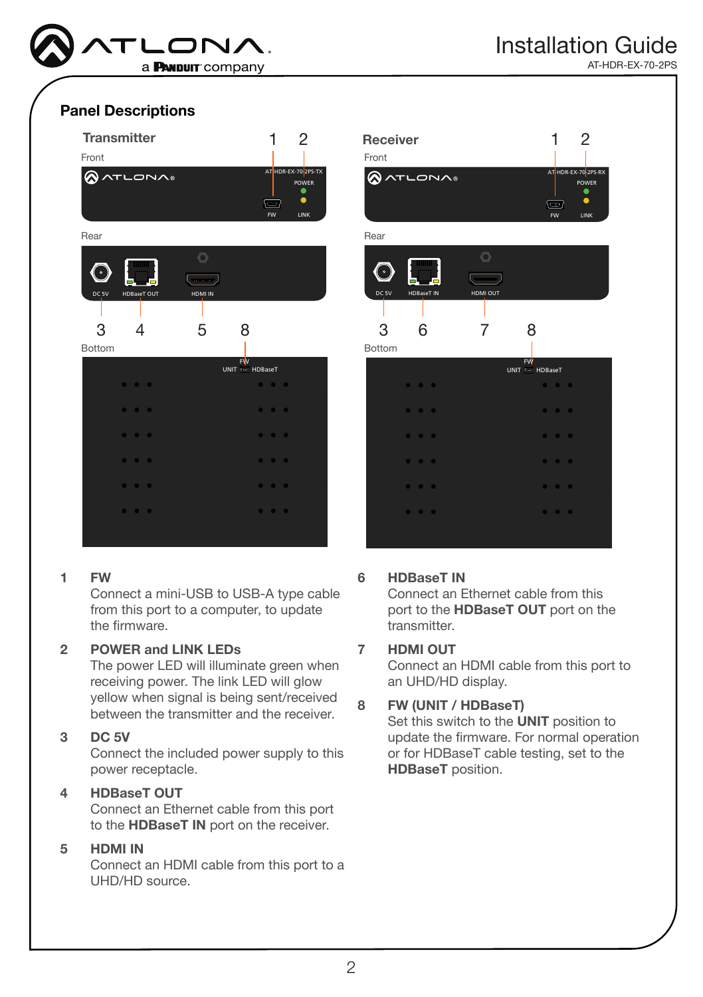

AT-HDR-EX-70-2PS

#### Panel Descriptions



#### 1 FW

Connect a mini-USB to USB-A type cable from this port to a computer, to update the firmware.

#### 2 POWER and LINK LEDs

yellow when signal is being sent/received The power LED will illuminate green when receiving power. The link LED will glow between the transmitter and the receiver.

#### 3 DC 5V

Connect the included power supply to this power receptacle.

#### 4 HDBaseT OUT

Connect an Ethernet cable from this port to the HDBaseT IN port on the receiver.

#### 5 HDMI IN

Connect an HDMI cable from this port to a UHD/HD source.



### 6 HDBaseT IN

Connect an Ethernet cable from this port to the HDBaseT OUT port on the transmitter.

#### 7 HDMI OUT

Connect an HDMI cable from this port to an UHD/HD display.

#### FW 8 FW (UNIT / HDBaseT)

or for HDBaseT cable testing, set to the Set this switch to the **UNIT** position to update the firmware. For normal operation HDBaseT position.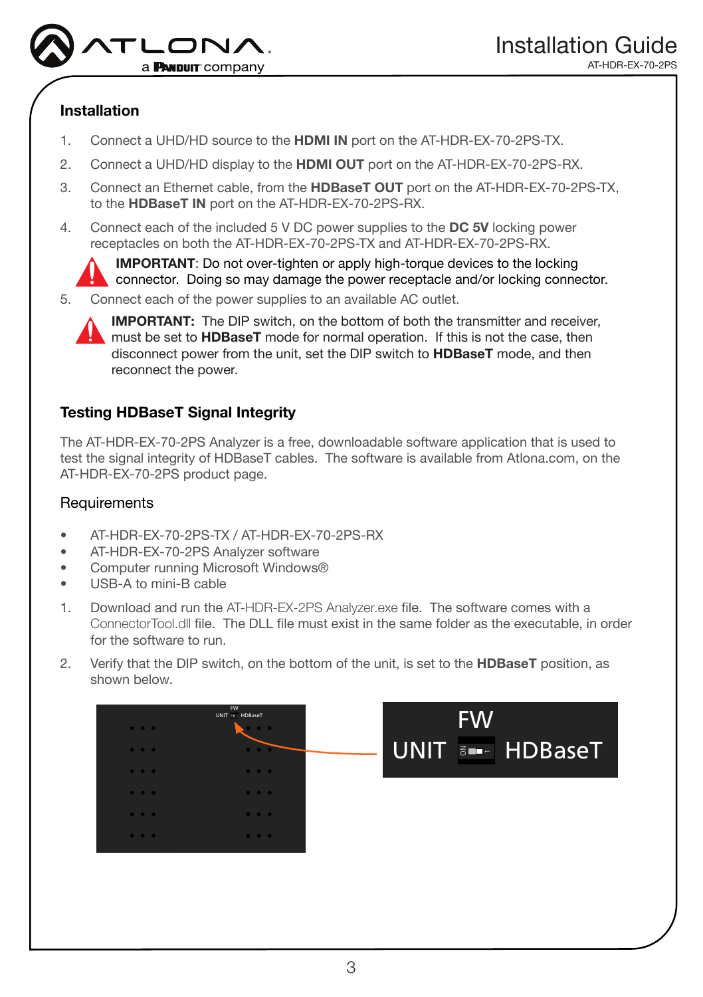

### Installation

- 1. Connect a UHD/HD source to the HDMI IN port on the AT-HDR-EX-70-2PS-TX.
- 2. Connect a UHD/HD display to the HDMI OUT port on the AT-HDR-EX-70-2PS-RX.
- 3. Connect an Ethernet cable, from the HDBaseT OUT port on the AT-HDR-EX-70-2PS-TX, to the HDBaseT IN port on the AT-HDR-EX-70-2PS-RX.
- 4. Connect each of the included 5 V DC power supplies to the DC 5V locking power receptacles on both the AT-HDR-EX-70-2PS-TX and AT-HDR-EX-70-2PS-RX.

IMPORTANT: Do not over-tighten or apply high-torque devices to the locking connector. Doing so may damage the power receptacle and/or locking connector.

5. Connect each of the power supplies to an available AC outlet.



IMPORTANT: The DIP switch, on the bottom of both the transmitter and receiver, must be set to **HDBaseT** mode for normal operation. If this is not the case, then disconnect power from the unit, set the DIP switch to HDBaseT mode, and then reconnect the power.

### Testing HDBaseT Signal Integrity

The AT-HDR-EX-70-2PS Analyzer is a free, downloadable software application that is used to test the signal integrity of HDBaseT cables. The software is available from Atlona.com, on the AT-HDR-EX-70-2PS product page.

### **Requirements**

- AT-HDR-EX-70-2PS-TX / AT-HDR-EX-70-2PS-RX
- AT-HDR-EX-70-2PS Analyzer software
- Computer running Microsoft Windows®
- USB-A to mini-B cable
- 1. Download and run the AT-HDR-EX-2PS Analyzer.exe file. The software comes with a ConnectorTool.dll file. The DLL file must exist in the same folder as the executable, in order for the software to run.
- 2. Verify that the DIP switch, on the bottom of the unit, is set to the **HDBaseT** position, as shown below.

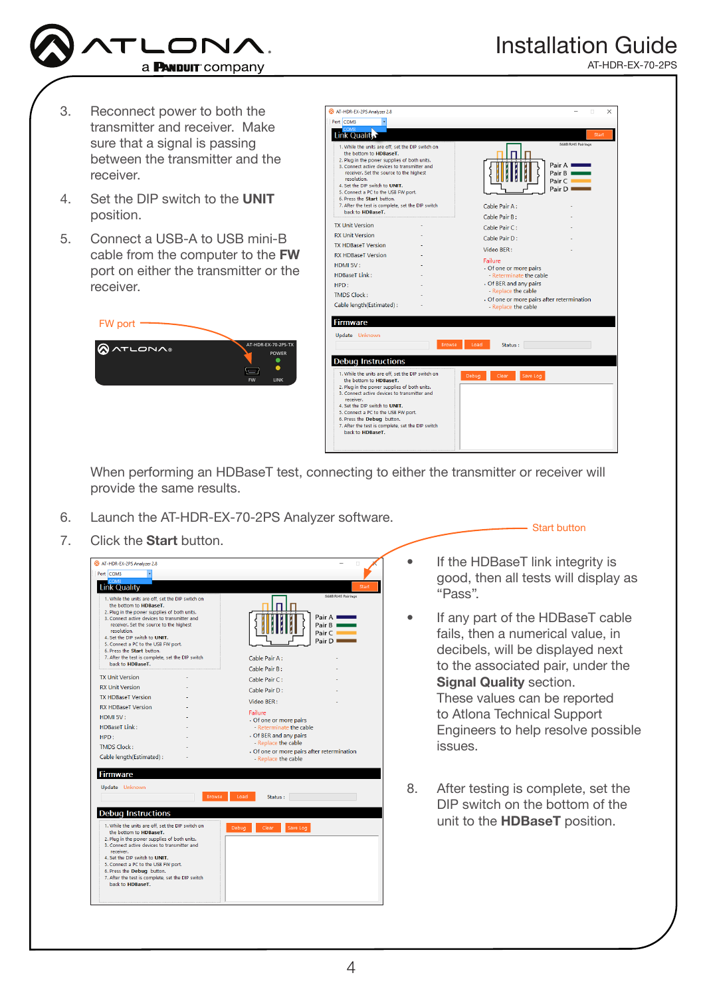![](_page_3_Picture_0.jpeg)

AT-HDR-EX-70-2PS

- 3. Reconnect power to both the transmitter and receiver. Make sure that a signal is passing between the transmitter and the receiver.
- 4. Set the DIP switch to the UNIT position.
- 5. Connect a USB-A to USB mini-B cable from the computer to the FW port on either the transmitter or the receiver.

![](_page_3_Picture_6.jpeg)

![](_page_3_Picture_7.jpeg)

When performing an HDBaseT test, connecting to either the transmitter or receiver will provide the same results.

- 6. Launch the AT-HDR-EX-70-2PS Analyzer software.
- 7. Click the **Start** button.

![](_page_3_Picture_11.jpeg)

Start button

- If the HDBaseT link integrity is good, then all tests will display as "Pass".
- If any part of the HDBaseT cable fails, then a numerical value, in decibels, will be displayed next to the associated pair, under the Signal Quality section. These values can be reported to Atlona Technical Support Engineers to help resolve possible issues.
- 8. After testing is complete, set the DIP switch on the bottom of the unit to the HDBaseT position.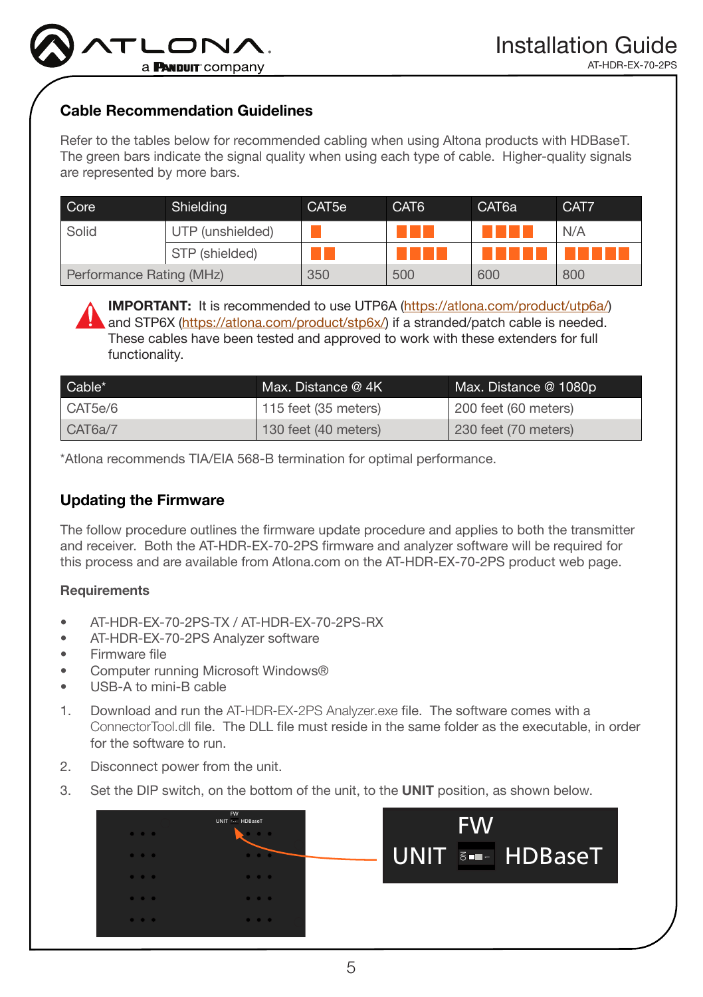![](_page_4_Picture_0.jpeg)

### Cable Recommendation Guidelines

Refer to the tables below for recommended cabling when using Altona products with HDBaseT. The green bars indicate the signal quality when using each type of cable. Higher-quality signals are represented by more bars.

| Core                     | Shielding        | CAT <sub>5e</sub> | CAT <sub>6</sub> | CAT <sub>6a</sub> | CAT7 |
|--------------------------|------------------|-------------------|------------------|-------------------|------|
| Solid                    | UTP (unshielded) |                   |                  |                   | N/A  |
|                          | STP (shielded)   |                   |                  |                   |      |
| Performance Rating (MHz) |                  | 350               | 500              | 600               | 800  |

IMPORTANT: It is recommended to use UTP6A (https://atlona.com/product/utp6a/) and STP6X (https://atlona.com/product/stp6x/) if a stranded/patch cable is needed. These cables have been tested and approved to work with these extenders for full functionality.

| Cable*  | Max. Distance @ 4K   | Max. Distance @ 1080p |
|---------|----------------------|-----------------------|
| CAT5e/6 | 115 feet (35 meters) | 200 feet (60 meters)  |
| CAT6a/7 | 130 feet (40 meters) | 230 feet (70 meters)  |

\*Atlona recommends TIA/EIA 568-B termination for optimal performance.

#### Updating the Firmware

The follow procedure outlines the firmware update procedure and applies to both the transmitter and receiver. Both the AT-HDR-EX-70-2PS firmware and analyzer software will be required for this process and are available from Atlona.com on the AT-HDR-EX-70-2PS product web page.

#### **Requirements**

- AT-HDR-EX-70-2PS-TX / AT-HDR-EX-70-2PS-RX
- AT-HDR-EX-70-2PS Analyzer software
- Firmware file
- Computer running Microsoft Windows®
- USB-A to mini-B cable
- 1. Download and run the AT-HDR-EX-2PS Analyzer.exe file. The software comes with a ConnectorTool.dll file. The DLL file must reside in the same folder as the executable, in order for the software to run.
- 2. Disconnect power from the unit.
- 3. Set the DIP switch, on the bottom of the unit, to the UNIT position, as shown below.

![](_page_4_Picture_19.jpeg)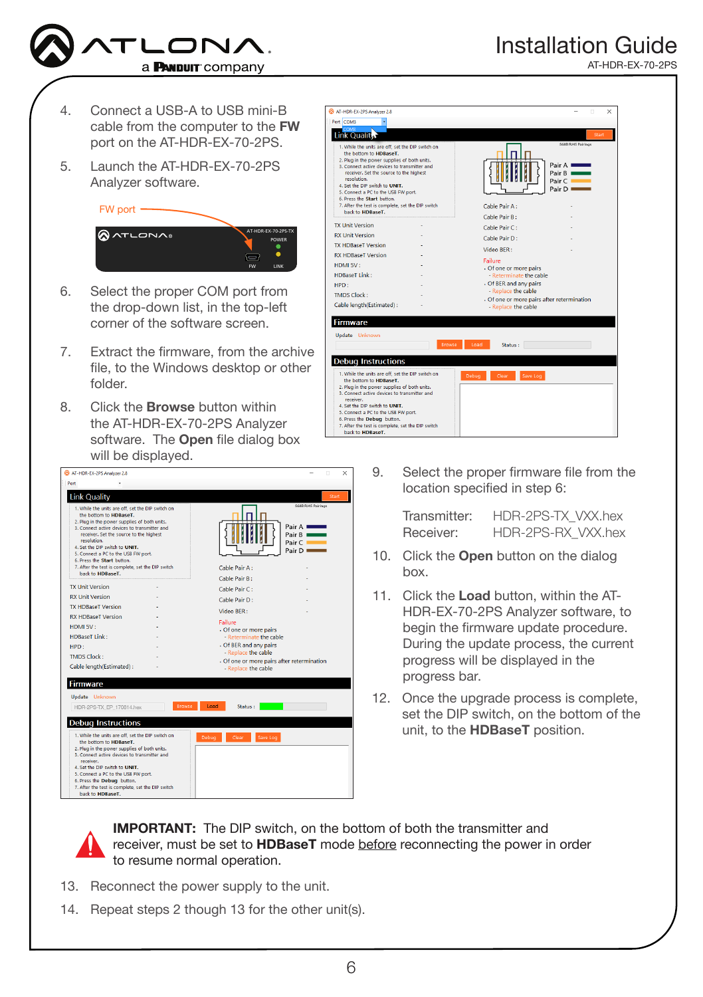![](_page_5_Picture_0.jpeg)

- 4. Connect a USB-A to USB mini-B cable from the computer to the FW port on the AT-HDR-EX-70-2PS.
- 5. Launch the AT-HDR-EX-70-2PS Analyzer software.

FW port

![](_page_5_Picture_4.jpeg)

- 6. Select the proper COM port from the drop-down list, in the top-left corner of the software screen.
- 7. Extract the firmware, from the archive file, to the Windows desktop or other folder.
- 8. Click the **Browse** button within the AT-HDR-EX-70-2PS Analyzer software. The **Open** file dialog box will be displayed.

![](_page_5_Picture_8.jpeg)

![](_page_5_Picture_9.jpeg)

9. Select the proper firmware file from the location specified in step 6:

> Transmitter: HDR-2PS-TX\_VXX.hex Receiver: HDR-2PS-RX\_VXX.hex

- 10. Click the **Open** button on the dialog box.
- 11. Click the Load button, within the AT-HDR-EX-70-2PS Analyzer software, to begin the firmware update procedure. During the update process, the current progress will be displayed in the progress bar.
- 12. Once the upgrade process is complete, set the DIP switch, on the bottom of the unit, to the HDBaseT position.

IMPORTANT: The DIP switch, on the bottom of both the transmitter and receiver, must be set to HDBaseT mode before reconnecting the power in order to resume normal operation.

- 13. Reconnect the power supply to the unit.
- 14. Repeat steps 2 though 13 for the other unit(s).

AT-HDR-EX-70-2PS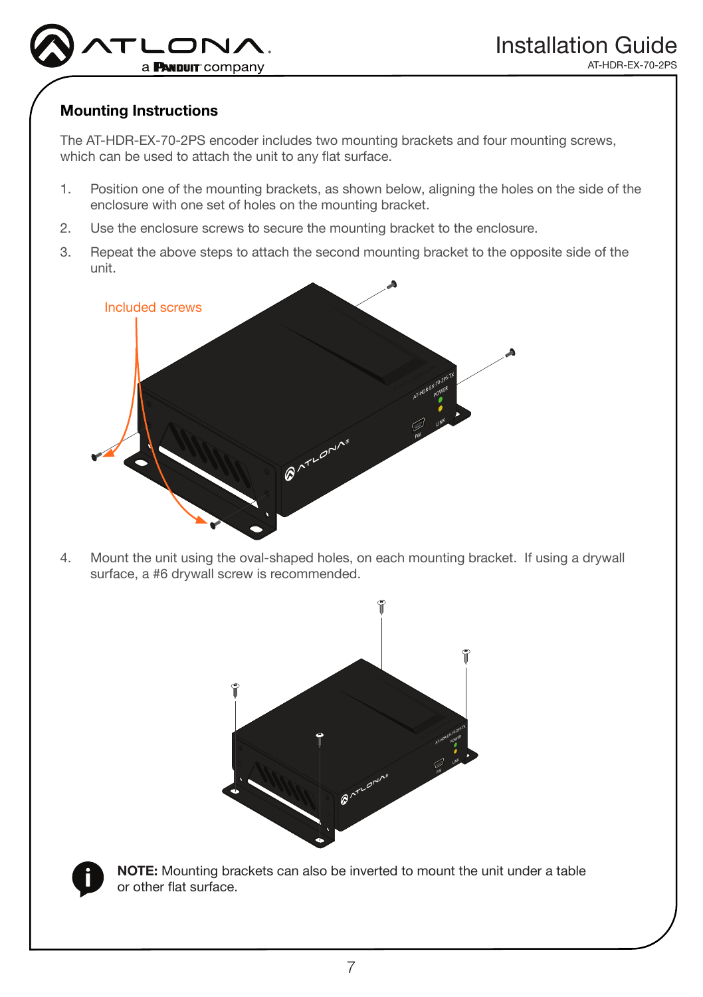![](_page_6_Picture_0.jpeg)

### Mounting Instructions

The AT-HDR-EX-70-2PS encoder includes two mounting brackets and four mounting screws, which can be used to attach the unit to any flat surface.

- 1. Position one of the mounting brackets, as shown below, aligning the holes on the side of the enclosure with one set of holes on the mounting bracket.
- 2. Use the enclosure screws to secure the mounting bracket to the enclosure.
- 3. Repeat the above steps to attach the second mounting bracket to the opposite side of the unit.

![](_page_6_Figure_7.jpeg)

4. Mount the unit using the oval-shaped holes, on each mounting bracket. If using a drywall surface, a #6 drywall screw is recommended.

![](_page_6_Figure_9.jpeg)

![](_page_6_Picture_10.jpeg)

NOTE: Mounting brackets can also be inverted to mount the unit under a table or other flat surface.